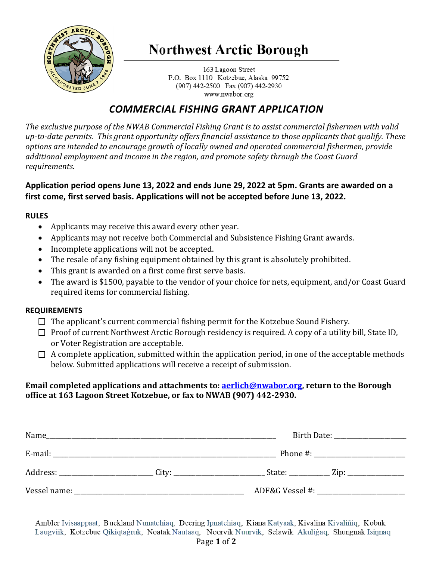

# **Northwest Arctic Borough**

163 Lagoon Street P.O. Box 1110 Kotzebue, Alaska 99752 (907) 442-2500 Fax (907) 442-2930 www.nwabor.org

### *COMMERCIAL FISHING GRANT APPLICATION*

*The exclusive purpose of the NWAB Commercial Fishing Grant is to assist commercial fishermen with valid up-to-date permits. This grant opportunity offers financial assistance to those applicants that qualify. These options are intended to encourage growth of locally owned and operated commercial fishermen, provide additional employment and income in the region, and promote safety through the Coast Guard requirements.* 

### **Application period opens June 13, 2022 and ends June 29, 2022 at 5pm. Grants are awarded on a first come, first served basis. Applications will not be accepted before June 13, 2022.**

#### **RULES**

- Applicants may receive this award every other year.
- Applicants may not receive both Commercial and Subsistence Fishing Grant awards.
- Incomplete applications will not be accepted.
- The resale of any fishing equipment obtained by this grant is absolutely prohibited.
- This grant is awarded on a first come first serve basis.
- The award is \$1500, payable to the vendor of your choice for nets, equipment, and/or Coast Guard required items for commercial fishing.

#### **REQUIREMENTS**

- $\Box$  The applicant's current commercial fishing permit for the Kotzebue Sound Fishery.
- $\Box$  Proof of current Northwest Arctic Borough residency is required. A copy of a utility bill, State ID, or Voter Registration are acceptable.
- $\Box$  A complete application, submitted within the application period, in one of the acceptable methods below. Submitted applications will receive a receipt of submission.

#### **Email completed applications and attachments to[: aerlich@nwabor.org,](mailto:aerlich@nwabor.org) return to the Borough office at 163 Lagoon Street Kotzebue, or fax to NWAB (907) 442-2930.**

| Name         | <u> 1989 - Johann Barn, mars ann an t-Amhraid ann an t-Amhraid ann an t-Amhraid ann an t-Amhraid ann an t-Amhraid </u> |                                    |
|--------------|------------------------------------------------------------------------------------------------------------------------|------------------------------------|
|              |                                                                                                                        |                                    |
|              | Address: _______________________________City: __________________________________                                       | State: $\qquad \qquad \text{Zip:}$ |
| Vessel name: |                                                                                                                        | ADF&G Vessel #:                    |

Ambler Ivisaappaat, Buckland Nunatchiaq, Deering Ipnatchiaq, Kiana Katyaak, Kivalina Kivaliñiq, Kobuk Laugviik, Kotzebue Qikiqtagruk, Noatak Nautaaq, Noorvik Nuurvik, Selawik Akuligaq, Shungnak Isinnaq Page **1** of **2**